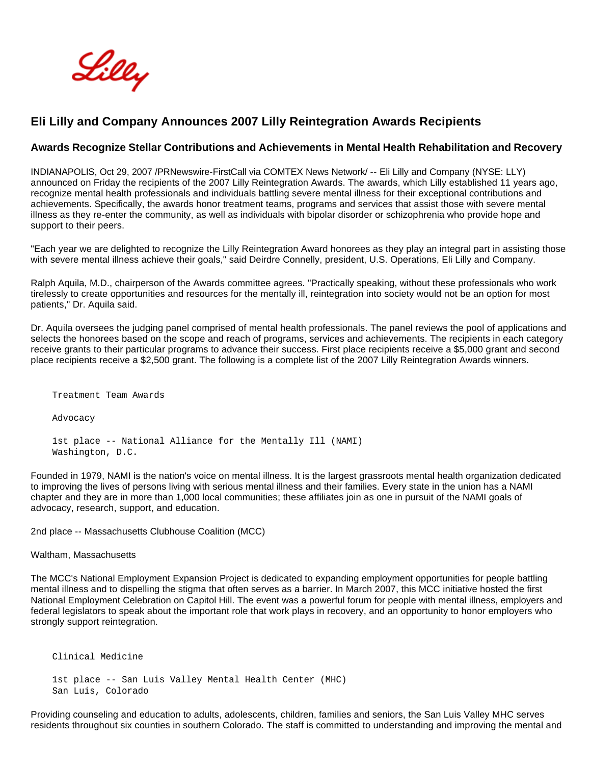Lilly

## **Eli Lilly and Company Announces 2007 Lilly Reintegration Awards Recipients**

## **Awards Recognize Stellar Contributions and Achievements in Mental Health Rehabilitation and Recovery**

INDIANAPOLIS, Oct 29, 2007 /PRNewswire-FirstCall via COMTEX News Network/ -- Eli Lilly and Company (NYSE: LLY) announced on Friday the recipients of the 2007 Lilly Reintegration Awards. The awards, which Lilly established 11 years ago, recognize mental health professionals and individuals battling severe mental illness for their exceptional contributions and achievements. Specifically, the awards honor treatment teams, programs and services that assist those with severe mental illness as they re-enter the community, as well as individuals with bipolar disorder or schizophrenia who provide hope and support to their peers.

"Each year we are delighted to recognize the Lilly Reintegration Award honorees as they play an integral part in assisting those with severe mental illness achieve their goals," said Deirdre Connelly, president, U.S. Operations, Eli Lilly and Company.

Ralph Aquila, M.D., chairperson of the Awards committee agrees. "Practically speaking, without these professionals who work tirelessly to create opportunities and resources for the mentally ill, reintegration into society would not be an option for most patients," Dr. Aquila said.

Dr. Aquila oversees the judging panel comprised of mental health professionals. The panel reviews the pool of applications and selects the honorees based on the scope and reach of programs, services and achievements. The recipients in each category receive grants to their particular programs to advance their success. First place recipients receive a \$5,000 grant and second place recipients receive a \$2,500 grant. The following is a complete list of the 2007 Lilly Reintegration Awards winners.

Treatment Team Awards

Advocacy

 1st place -- National Alliance for the Mentally Ill (NAMI) Washington, D.C.

Founded in 1979, NAMI is the nation's voice on mental illness. It is the largest grassroots mental health organization dedicated to improving the lives of persons living with serious mental illness and their families. Every state in the union has a NAMI chapter and they are in more than 1,000 local communities; these affiliates join as one in pursuit of the NAMI goals of advocacy, research, support, and education.

2nd place -- Massachusetts Clubhouse Coalition (MCC)

Waltham, Massachusetts

The MCC's National Employment Expansion Project is dedicated to expanding employment opportunities for people battling mental illness and to dispelling the stigma that often serves as a barrier. In March 2007, this MCC initiative hosted the first National Employment Celebration on Capitol Hill. The event was a powerful forum for people with mental illness, employers and federal legislators to speak about the important role that work plays in recovery, and an opportunity to honor employers who strongly support reintegration.

```
 Clinical Medicine
```
 1st place -- San Luis Valley Mental Health Center (MHC) San Luis, Colorado

Providing counseling and education to adults, adolescents, children, families and seniors, the San Luis Valley MHC serves residents throughout six counties in southern Colorado. The staff is committed to understanding and improving the mental and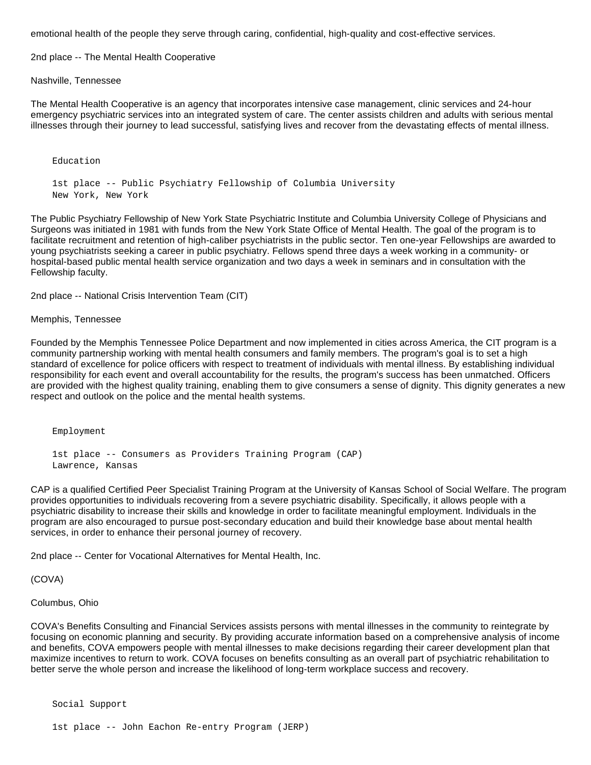emotional health of the people they serve through caring, confidential, high-quality and cost-effective services.

2nd place -- The Mental Health Cooperative

Nashville, Tennessee

Education

The Mental Health Cooperative is an agency that incorporates intensive case management, clinic services and 24-hour emergency psychiatric services into an integrated system of care. The center assists children and adults with serious mental illnesses through their journey to lead successful, satisfying lives and recover from the devastating effects of mental illness.

 1st place -- Public Psychiatry Fellowship of Columbia University New York, New York

The Public Psychiatry Fellowship of New York State Psychiatric Institute and Columbia University College of Physicians and Surgeons was initiated in 1981 with funds from the New York State Office of Mental Health. The goal of the program is to facilitate recruitment and retention of high-caliber psychiatrists in the public sector. Ten one-year Fellowships are awarded to young psychiatrists seeking a career in public psychiatry. Fellows spend three days a week working in a community- or hospital-based public mental health service organization and two days a week in seminars and in consultation with the Fellowship faculty.

2nd place -- National Crisis Intervention Team (CIT)

Memphis, Tennessee

Founded by the Memphis Tennessee Police Department and now implemented in cities across America, the CIT program is a community partnership working with mental health consumers and family members. The program's goal is to set a high standard of excellence for police officers with respect to treatment of individuals with mental illness. By establishing individual responsibility for each event and overall accountability for the results, the program's success has been unmatched. Officers are provided with the highest quality training, enabling them to give consumers a sense of dignity. This dignity generates a new respect and outlook on the police and the mental health systems.

Employment

 1st place -- Consumers as Providers Training Program (CAP) Lawrence, Kansas

CAP is a qualified Certified Peer Specialist Training Program at the University of Kansas School of Social Welfare. The program provides opportunities to individuals recovering from a severe psychiatric disability. Specifically, it allows people with a psychiatric disability to increase their skills and knowledge in order to facilitate meaningful employment. Individuals in the program are also encouraged to pursue post-secondary education and build their knowledge base about mental health services, in order to enhance their personal journey of recovery.

2nd place -- Center for Vocational Alternatives for Mental Health, Inc.

(COVA)

Columbus, Ohio

COVA's Benefits Consulting and Financial Services assists persons with mental illnesses in the community to reintegrate by focusing on economic planning and security. By providing accurate information based on a comprehensive analysis of income and benefits, COVA empowers people with mental illnesses to make decisions regarding their career development plan that maximize incentives to return to work. COVA focuses on benefits consulting as an overall part of psychiatric rehabilitation to better serve the whole person and increase the likelihood of long-term workplace success and recovery.

Social Support

1st place -- John Eachon Re-entry Program (JERP)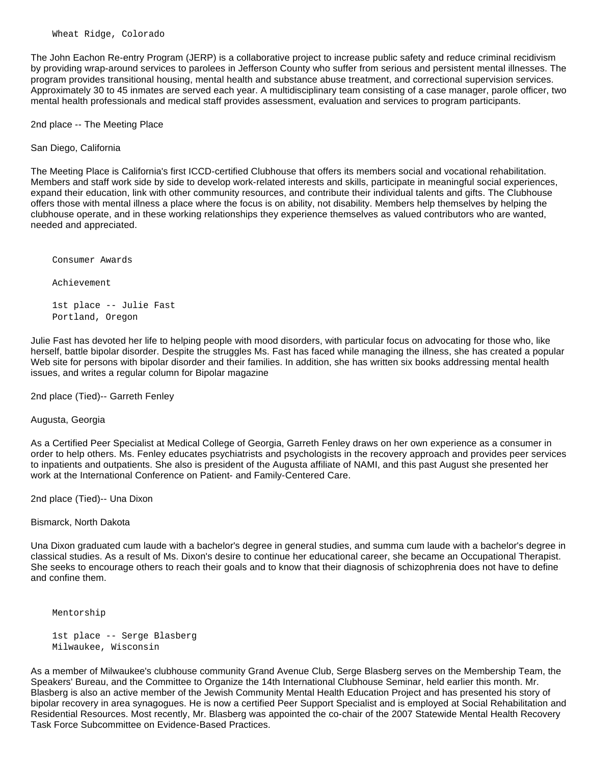The John Eachon Re-entry Program (JERP) is a collaborative project to increase public safety and reduce criminal recidivism by providing wrap-around services to parolees in Jefferson County who suffer from serious and persistent mental illnesses. The program provides transitional housing, mental health and substance abuse treatment, and correctional supervision services. Approximately 30 to 45 inmates are served each year. A multidisciplinary team consisting of a case manager, parole officer, two mental health professionals and medical staff provides assessment, evaluation and services to program participants.

2nd place -- The Meeting Place

San Diego, California

The Meeting Place is California's first ICCD-certified Clubhouse that offers its members social and vocational rehabilitation. Members and staff work side by side to develop work-related interests and skills, participate in meaningful social experiences, expand their education, link with other community resources, and contribute their individual talents and gifts. The Clubhouse offers those with mental illness a place where the focus is on ability, not disability. Members help themselves by helping the clubhouse operate, and in these working relationships they experience themselves as valued contributors who are wanted, needed and appreciated.

Consumer Awards

Achievement

 1st place -- Julie Fast Portland, Oregon

Julie Fast has devoted her life to helping people with mood disorders, with particular focus on advocating for those who, like herself, battle bipolar disorder. Despite the struggles Ms. Fast has faced while managing the illness, she has created a popular Web site for persons with bipolar disorder and their families. In addition, she has written six books addressing mental health issues, and writes a regular column for Bipolar magazine

2nd place (Tied)-- Garreth Fenley

Augusta, Georgia

As a Certified Peer Specialist at Medical College of Georgia, Garreth Fenley draws on her own experience as a consumer in order to help others. Ms. Fenley educates psychiatrists and psychologists in the recovery approach and provides peer services to inpatients and outpatients. She also is president of the Augusta affiliate of NAMI, and this past August she presented her work at the International Conference on Patient- and Family-Centered Care.

2nd place (Tied)-- Una Dixon

Bismarck, North Dakota

Una Dixon graduated cum laude with a bachelor's degree in general studies, and summa cum laude with a bachelor's degree in classical studies. As a result of Ms. Dixon's desire to continue her educational career, she became an Occupational Therapist. She seeks to encourage others to reach their goals and to know that their diagnosis of schizophrenia does not have to define and confine them.

Mentorship

```
 1st place -- Serge Blasberg
Milwaukee, Wisconsin
```
As a member of Milwaukee's clubhouse community Grand Avenue Club, Serge Blasberg serves on the Membership Team, the Speakers' Bureau, and the Committee to Organize the 14th International Clubhouse Seminar, held earlier this month. Mr. Blasberg is also an active member of the Jewish Community Mental Health Education Project and has presented his story of bipolar recovery in area synagogues. He is now a certified Peer Support Specialist and is employed at Social Rehabilitation and Residential Resources. Most recently, Mr. Blasberg was appointed the co-chair of the 2007 Statewide Mental Health Recovery Task Force Subcommittee on Evidence-Based Practices.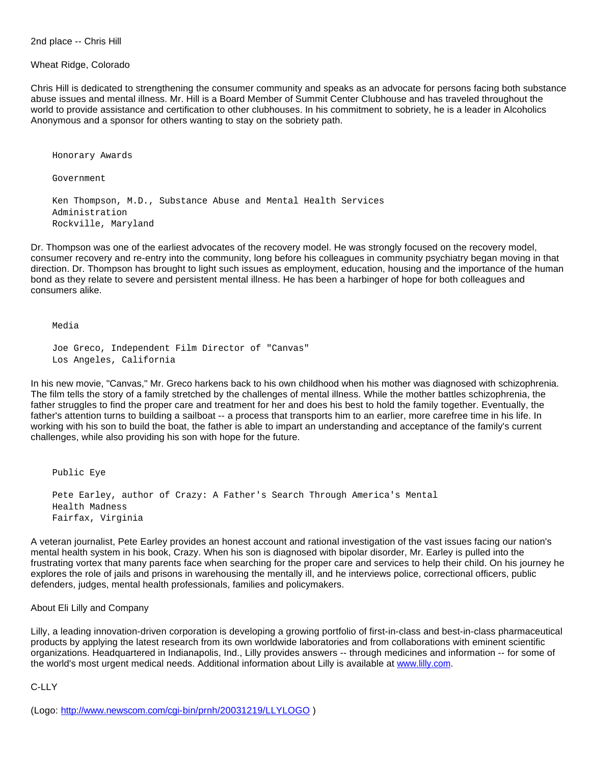2nd place -- Chris Hill

## Wheat Ridge, Colorado

Chris Hill is dedicated to strengthening the consumer community and speaks as an advocate for persons facing both substance abuse issues and mental illness. Mr. Hill is a Board Member of Summit Center Clubhouse and has traveled throughout the world to provide assistance and certification to other clubhouses. In his commitment to sobriety, he is a leader in Alcoholics Anonymous and a sponsor for others wanting to stay on the sobriety path.

Honorary Awards

Government

 Ken Thompson, M.D., Substance Abuse and Mental Health Services Administration Rockville, Maryland

Dr. Thompson was one of the earliest advocates of the recovery model. He was strongly focused on the recovery model, consumer recovery and re-entry into the community, long before his colleagues in community psychiatry began moving in that direction. Dr. Thompson has brought to light such issues as employment, education, housing and the importance of the human bond as they relate to severe and persistent mental illness. He has been a harbinger of hope for both colleagues and consumers alike.

Media

```
 Joe Greco, Independent Film Director of "Canvas"
Los Angeles, California
```
In his new movie, "Canvas," Mr. Greco harkens back to his own childhood when his mother was diagnosed with schizophrenia. The film tells the story of a family stretched by the challenges of mental illness. While the mother battles schizophrenia, the father struggles to find the proper care and treatment for her and does his best to hold the family together. Eventually, the father's attention turns to building a sailboat -- a process that transports him to an earlier, more carefree time in his life. In working with his son to build the boat, the father is able to impart an understanding and acceptance of the family's current challenges, while also providing his son with hope for the future.

```
 Public Eye
Pete Earley, author of Crazy: A Father's Search Through America's Mental
Health Madness
Fairfax, Virginia
```
A veteran journalist, Pete Earley provides an honest account and rational investigation of the vast issues facing our nation's mental health system in his book, Crazy. When his son is diagnosed with bipolar disorder, Mr. Earley is pulled into the frustrating vortex that many parents face when searching for the proper care and services to help their child. On his journey he explores the role of jails and prisons in warehousing the mentally ill, and he interviews police, correctional officers, public defenders, judges, mental health professionals, families and policymakers.

About Eli Lilly and Company

Lilly, a leading innovation-driven corporation is developing a growing portfolio of first-in-class and best-in-class pharmaceutical products by applying the latest research from its own worldwide laboratories and from collaborations with eminent scientific organizations. Headquartered in Indianapolis, Ind., Lilly provides answers -- through medicines and information -- for some of the world's most urgent medical needs. Additional information about Lilly is available at [www.lilly.com.](http://www.lilly.com/)

C-LLY

(Logo:<http://www.newscom.com/cgi-bin/prnh/20031219/LLYLOGO> )